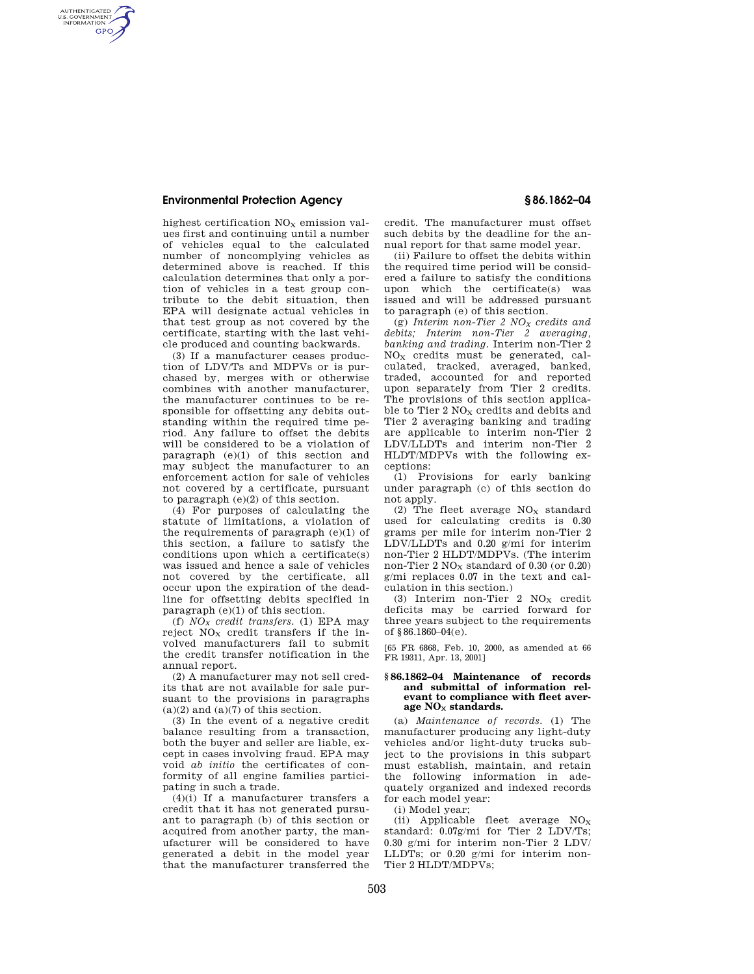# **Environmental Protection Agency § 86.1862–04**

AUTHENTICATED<br>U.S. GOVERNMENT<br>INFORMATION **GPO** 

highest certification  $\rm NO_X$  emission values first and continuing until a number of vehicles equal to the calculated number of noncomplying vehicles as determined above is reached. If this calculation determines that only a portion of vehicles in a test group contribute to the debit situation, then EPA will designate actual vehicles in that test group as not covered by the certificate, starting with the last vehicle produced and counting backwards.

(3) If a manufacturer ceases production of LDV/Ts and MDPVs or is purchased by, merges with or otherwise combines with another manufacturer, the manufacturer continues to be responsible for offsetting any debits outstanding within the required time period. Any failure to offset the debits will be considered to be a violation of paragraph  $(e)(1)$  of this section and may subject the manufacturer to an enforcement action for sale of vehicles not covered by a certificate, pursuant to paragraph (e)(2) of this section.

(4) For purposes of calculating the statute of limitations, a violation of the requirements of paragraph (e)(1) of this section, a failure to satisfy the conditions upon which a certificate(s) was issued and hence a sale of vehicles not covered by the certificate, all occur upon the expiration of the deadline for offsetting debits specified in paragraph (e)(1) of this section.

(f) *NO<sup>X</sup> credit transfers.* (1) EPA may reject  $NO<sub>x</sub>$  credit transfers if the involved manufacturers fail to submit the credit transfer notification in the annual report.

(2) A manufacturer may not sell credits that are not available for sale pursuant to the provisions in paragraphs  $(a)(2)$  and  $(a)(7)$  of this section.

(3) In the event of a negative credit balance resulting from a transaction, both the buyer and seller are liable, except in cases involving fraud. EPA may void *ab initio* the certificates of conformity of all engine families participating in such a trade.

(4)(i) If a manufacturer transfers a credit that it has not generated pursuant to paragraph (b) of this section or acquired from another party, the manufacturer will be considered to have generated a debit in the model year that the manufacturer transferred the credit. The manufacturer must offset such debits by the deadline for the annual report for that same model year.

(ii) Failure to offset the debits within the required time period will be considered a failure to satisfy the conditions upon which the certificate(s) was issued and will be addressed pursuant to paragraph (e) of this section.

(g) *Interim non-Tier 2 NO<sup>X</sup> credits and debits; Interim non-Tier 2 averaging, banking and trading.* Interim non-Tier 2  $NO<sub>x</sub>$  credits must be generated, calculated, tracked, averaged, banked, traded, accounted for and reported upon separately from Tier 2 credits. The provisions of this section applicable to Tier  $2$  NO<sub>X</sub> credits and debits and Tier 2 averaging banking and trading are applicable to interim non-Tier 2 LDV/LLDTs and interim non-Tier 2 HLDT/MDPVs with the following exceptions:

(1) Provisions for early banking under paragraph (c) of this section do not apply.

(2) The fleet average  $NO<sub>x</sub>$  standard used for calculating credits is 0.30 grams per mile for interim non-Tier 2 LDV/LLDTs and 0.20 g/mi for interim non-Tier 2 HLDT/MDPVs. (The interim non-Tier  $2 \text{ NO}_x$  standard of 0.30 (or 0.20) g/mi replaces 0.07 in the text and calculation in this section.)

(3) Interim non-Tier 2  $\rm{NO_{X}}$  credit deficits may be carried forward for three years subject to the requirements of  $§86.1860-04(e)$ .

[65 FR 6868, Feb. 10, 2000, as amended at 66 FR 19311, Apr. 13, 2001]

## **§ 86.1862–04 Maintenance of records and submittal of information relevant to compliance with fleet aver**age  $NO_{\times}$  standards.

(a) *Maintenance of records.* (1) The manufacturer producing any light-duty vehicles and/or light-duty trucks subject to the provisions in this subpart must establish, maintain, and retain the following information in adequately organized and indexed records for each model year:

(i) Model year;

(ii) Applicable fleet average  $NO<sub>x</sub>$ standard: 0.07g/mi for Tier 2 LDV/Ts; 0.30 g/mi for interim non-Tier 2 LDV/ LLDTs; or 0.20 g/mi for interim non-Tier 2 HLDT/MDPVs;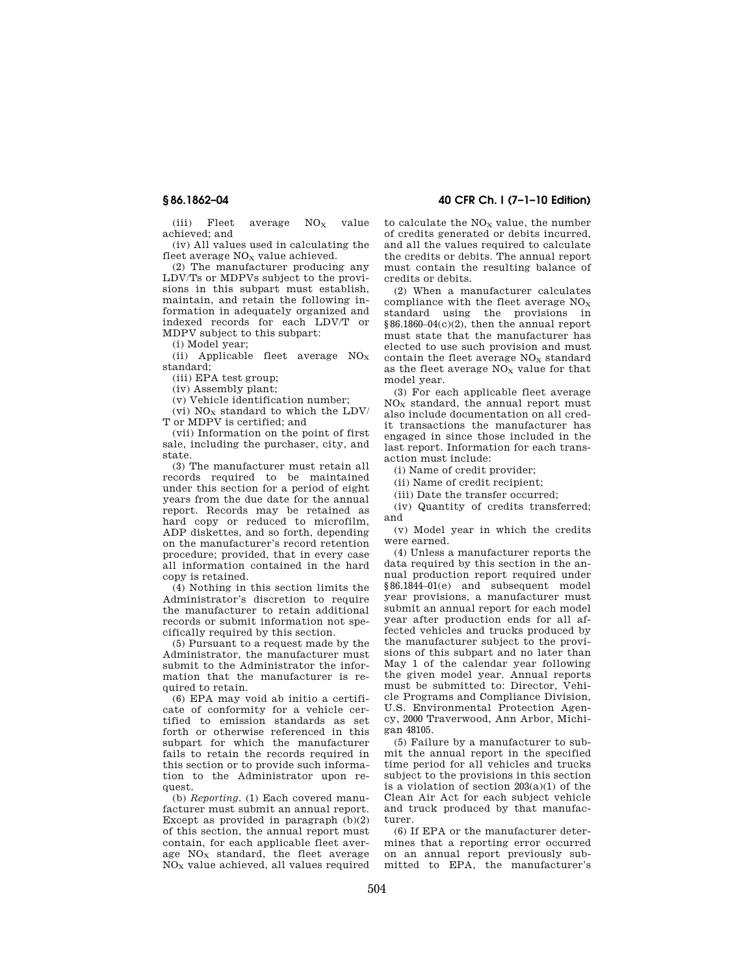$(iii)$  Fleet average  $NO_x$  value achieved; and

(iv) All values used in calculating the fleet average  $NO<sub>x</sub>$  value achieved.

(2) The manufacturer producing any LDV/Ts or MDPVs subject to the provisions in this subpart must establish, maintain, and retain the following information in adequately organized and indexed records for each LDV/T or MDPV subject to this subpart:

(i) Model year;

(ii) Applicable fleet average  $NO<sub>x</sub>$ standard;

(iii) EPA test group;

(iv) Assembly plant;

(v) Vehicle identification number;

(vi)  $\rm NO_X$  standard to which the LDV/ T or MDPV is certified; and

(vii) Information on the point of first sale, including the purchaser, city, and state.

(3) The manufacturer must retain all records required to be maintained under this section for a period of eight years from the due date for the annual report. Records may be retained as hard copy or reduced to microfilm, ADP diskettes, and so forth, depending on the manufacturer's record retention procedure; provided, that in every case all information contained in the hard copy is retained.

(4) Nothing in this section limits the Administrator's discretion to require the manufacturer to retain additional records or submit information not specifically required by this section.

(5) Pursuant to a request made by the Administrator, the manufacturer must submit to the Administrator the information that the manufacturer is required to retain.

(6) EPA may void ab initio a certificate of conformity for a vehicle certified to emission standards as set forth or otherwise referenced in this subpart for which the manufacturer fails to retain the records required in this section or to provide such information to the Administrator upon request.

(b) *Reporting.* (1) Each covered manufacturer must submit an annual report. Except as provided in paragraph  $(b)(2)$ of this section, the annual report must contain, for each applicable fleet average  $NO<sub>x</sub>$  standard, the fleet average NO<sup>X</sup> value achieved, all values required

**§ 86.1862–04 40 CFR Ch. I (7–1–10 Edition)** 

to calculate the  $\rm{NO_{X}}$  value, the number of credits generated or debits incurred, and all the values required to calculate the credits or debits. The annual report must contain the resulting balance of credits or debits.

(2) When a manufacturer calculates compliance with the fleet average  $NO<sub>x</sub>$ standard using the provisions in §86.1860–04(c)(2), then the annual report must state that the manufacturer has elected to use such provision and must contain the fleet average  $NO<sub>x</sub>$  standard as the fleet average  $NO<sub>x</sub>$  value for that model year.

(3) For each applicable fleet average  $NO<sub>x</sub>$  standard, the annual report must also include documentation on all credit transactions the manufacturer has engaged in since those included in the last report. Information for each transaction must include:

(i) Name of credit provider;

(ii) Name of credit recipient;

(iii) Date the transfer occurred;

(iv) Quantity of credits transferred; and

(v) Model year in which the credits were earned.

(4) Unless a manufacturer reports the data required by this section in the annual production report required under §86.1844–01(e) and subsequent model year provisions, a manufacturer must submit an annual report for each model year after production ends for all affected vehicles and trucks produced by the manufacturer subject to the provisions of this subpart and no later than May 1 of the calendar year following the given model year. Annual reports must be submitted to: Director, Vehicle Programs and Compliance Division, U.S. Environmental Protection Agency, 2000 Traverwood, Ann Arbor, Michigan 48105.

(5) Failure by a manufacturer to submit the annual report in the specified time period for all vehicles and trucks subject to the provisions in this section is a violation of section  $203(a)(1)$  of the Clean Air Act for each subject vehicle and truck produced by that manufacturer.

(6) If EPA or the manufacturer determines that a reporting error occurred on an annual report previously submitted to EPA, the manufacturer's